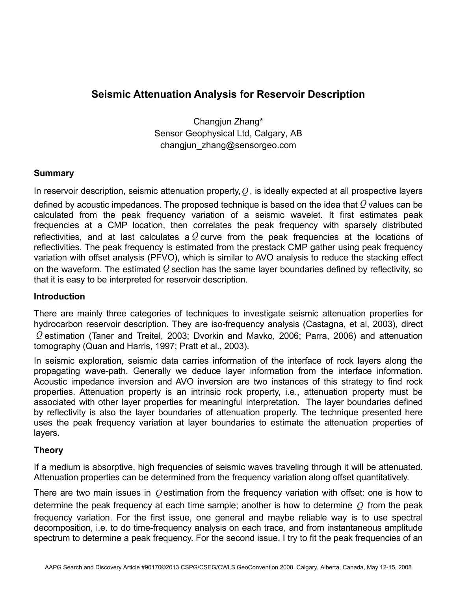# **Seismic Attenuation Analysis for Reservoir Description**

Changjun Zhang\* Sensor Geophysical Ltd, Calgary, AB changjun\_zhang@sensorgeo.com

## **Summary**

In reservoir description, seismic attenuation property,*Q* , is ideally expected at all prospective layers defined by acoustic impedances. The proposed technique is based on the idea that *Q* values can be calculated from the peak frequency variation of a seismic wavelet. It first estimates peak frequencies at a CMP location, then correlates the peak frequency with sparsely distributed reflectivities, and at last calculates a *Q* curve from the peak frequencies at the locations of reflectivities. The peak frequency is estimated from the prestack CMP gather using peak frequency variation with offset analysis (PFVO), which is similar to AVO analysis to reduce the stacking effect on the waveform. The estimated *Q* section has the same layer boundaries defined by reflectivity, so that it is easy to be interpreted for reservoir description.

## **Introduction**

There are mainly three categories of techniques to investigate seismic attenuation properties for hydrocarbon reservoir description. They are iso-frequency analysis (Castagna, et al, 2003), direct *Q* estimation (Taner and Treitel, 2003; Dvorkin and Mavko, 2006; Parra, 2006) and attenuation tomography (Quan and Harris, 1997; Pratt et al., 2003).

In seismic exploration, seismic data carries information of the interface of rock layers along the propagating wave-path. Generally we deduce layer information from the interface information. Acoustic impedance inversion and AVO inversion are two instances of this strategy to find rock properties. Attenuation property is an intrinsic rock property, i.e., attenuation property must be associated with other layer properties for meaningful interpretation. The layer boundaries defined by reflectivity is also the layer boundaries of attenuation property. The technique presented here uses the peak frequency variation at layer boundaries to estimate the attenuation properties of layers.

## **Theory**

If a medium is absorptive, high frequencies of seismic waves traveling through it will be attenuated. Attenuation properties can be determined from the frequency variation along offset quantitatively.

There are two main issues in *Q* estimation from the frequency variation with offset: one is how to determine the peak frequency at each time sample; another is how to determine *Q* from the peak frequency variation. For the first issue, one general and maybe reliable way is to use spectral decomposition, i.e. to do time-frequency analysis on each trace, and from instantaneous amplitude spectrum to determine a peak frequency. For the second issue, I try to fit the peak frequencies of an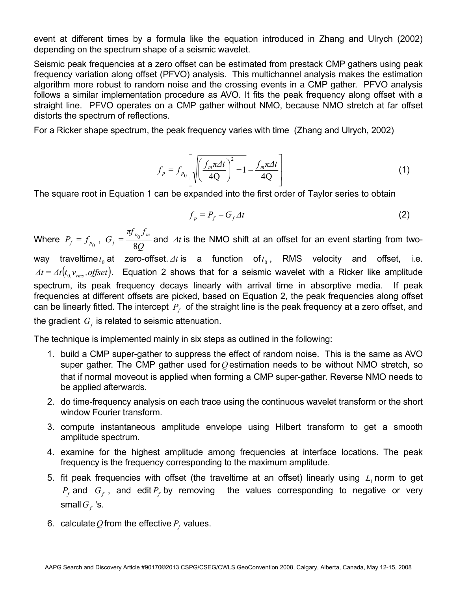event at different times by a formula like the equation introduced in Zhang and Ulrych (2002) depending on the spectrum shape of a seismic wavelet.

Seismic peak frequencies at a zero offset can be estimated from prestack CMP gathers using peak frequency variation along offset (PFVO) analysis. This multichannel analysis makes the estimation algorithm more robust to random noise and the crossing events in a CMP gather. PFVO analysis follows a similar implementation procedure as AVO. It fits the peak frequency along offset with a straight line. PFVO operates on a CMP gather without NMO, because NMO stretch at far offset distorts the spectrum of reflections.

For a Ricker shape spectrum, the peak frequency varies with time (Zhang and Ulrych, 2002)

$$
f_p = f_{p_0} \left[ \sqrt{\left(\frac{f_m \pi \Delta t}{4Q}\right)^2 + 1} - \frac{f_m \pi \Delta t}{4Q} \right]
$$
 (1)

The square root in Equation 1 can be expanded into the first order of Taylor series to obtain

$$
f_p = P_f - G_f \varDelta t \tag{2}
$$

Where  $P_f = f_{p_0}$ ,  $G_f = \frac{p_{0}^{2}}{8Q}$  $G_f = \frac{\pi f_{p_0} f_m}{2.2}$  $f_f = \frac{3 \mu_0 3 \mu_0}{8Q}$  and  $\Delta t$  is the NMO shift at an offset for an event starting from two-

way traveltime  $t_0$  at zero-offset.  $\Delta t$  is a function of  $t_0$ , RMS velocity and offset, i.e.  $\Delta t = \Delta t (t_0 v_{rms}, offset)$ . Equation 2 shows that for a seismic wavelet with a Ricker like amplitude spectrum, its peak frequency decays linearly with arrival time in absorptive media. If peak frequencies at different offsets are picked, based on Equation 2, the peak frequencies along offset can be linearly fitted. The intercept  $P_f$  of the straight line is the peak frequency at a zero offset, and the gradient  $G<sub>f</sub>$  is related to seismic attenuation.

The technique is implemented mainly in six steps as outlined in the following:

- 1. build a CMP super-gather to suppress the effect of random noise. This is the same as AVO super gather. The CMP gather used for*Q* estimation needs to be without NMO stretch, so that if normal moveout is applied when forming a CMP super-gather. Reverse NMO needs to be applied afterwards.
- 2. do time-frequency analysis on each trace using the continuous wavelet transform or the short window Fourier transform.
- 3. compute instantaneous amplitude envelope using Hilbert transform to get a smooth amplitude spectrum.
- 4. examine for the highest amplitude among frequencies at interface locations. The peak frequency is the frequency corresponding to the maximum amplitude.
- 5. fit peak frequencies with offset (the traveltime at an offset) linearly using  $L<sub>1</sub>$  norm to get  $P_f$  and  $G_f$ , and edit  $P_f$  by removing the values corresponding to negative or very small  $G_f$  's.
- 6. calculate  $Q$  from the effective  $P_f$  values.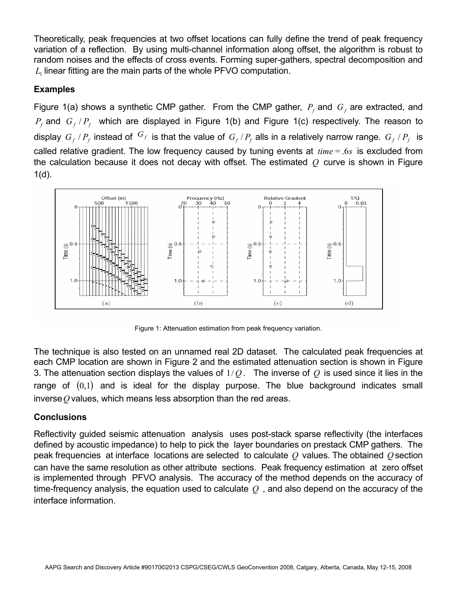Theoretically, peak frequencies at two offset locations can fully define the trend of peak frequency variation of a reflection. By using multi-channel information along offset, the algorithm is robust to random noises and the effects of cross events. Forming super-gathers, spectral decomposition and  $L<sub>1</sub>$  linear fitting are the main parts of the whole PFVO computation.

## **Examples**

Figure 1(a) shows a synthetic CMP gather. From the CMP gather,  $P_f$  and  $G_f$  are extracted, and  $P_f$  and  $G_f/P_f$  which are displayed in Figure 1(b) and Figure 1(c) respectively. The reason to display  $G_f/P_f$  instead of  $G_f$  is that the value of  $G_f/P_f$  alls in a relatively narrow range.  $G_f/P_f$  is called relative gradient. The low frequency caused by tuning events at  $time = .6s$  is excluded from the calculation because it does not decay with offset. The estimated *Q* curve is shown in Figure  $1(d)$ .



Figure 1: Attenuation estimation from peak frequency variation.

The technique is also tested on an unnamed real 2D dataset. The calculated peak frequencies at each CMP location are shown in Figure 2 and the estimated attenuation section is shown in Figure 3. The attenuation section displays the values of  $1/Q$ . The inverse of  $Q$  is used since it lies in the range of  $(0,1)$  and is ideal for the display purpose. The blue background indicates small inverse*Q* values, which means less absorption than the red areas.

## **Conclusions**

Reflectivity guided seismic attenuation analysis uses post-stack sparse reflectivity (the interfaces defined by acoustic impedance) to help to pick the layer boundaries on prestack CMP gathers. The peak frequencies at interface locations are selected to calculate *Q* values. The obtained *Q* section can have the same resolution as other attribute sections. Peak frequency estimation at zero offset is implemented through PFVO analysis. The accuracy of the method depends on the accuracy of time-frequency analysis, the equation used to calculate *Q* , and also depend on the accuracy of the interface information.